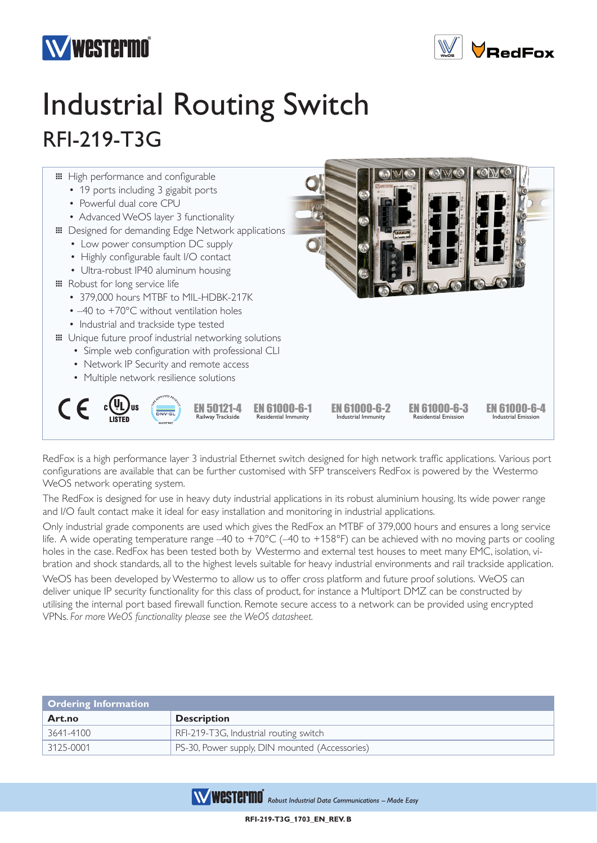



## Industrial Routing Switch RFI-219-T3G



RedFox is a high performance layer 3 industrial Ethernet switch designed for high network traffic applications. Various port configurations are available that can be further customised with SFP transceivers RedFox is powered by the Westermo WeOS network operating system.

The RedFox is designed for use in heavy duty industrial applications in its robust aluminium housing. Its wide power range and I/O fault contact make it ideal for easy installation and monitoring in industrial applications.

Only industrial grade components are used which gives the RedFox an MTBF of 379,000 hours and ensures a long service life. A wide operating temperature range –40 to +70°C (–40 to +158°F) can be achieved with no moving parts or cooling holes in the case. RedFox has been tested both by Westermo and external test houses to meet many EMC, isolation, vibration and shock standards, all to the highest levels suitable for heavy industrial environments and rail trackside application.

WeOS has been developed by Westermo to allow us to offer cross platform and future proof solutions. WeOS can deliver unique IP security functionality for this class of product, for instance a Multiport DMZ can be constructed by utilising the internal port based firewall function. Remote secure access to a network can be provided using encrypted VPNs. *For more WeOS functionality please see the WeOS datasheet.*

| <b>Ordering Information</b> |                                                |  |
|-----------------------------|------------------------------------------------|--|
| Art.no                      | <b>Description</b>                             |  |
| 3641-4100                   | RFI-219-T3G, Industrial routing switch         |  |
| $\mid$ 3125-0001            | PS-30, Power supply, DIN mounted (Accessories) |  |